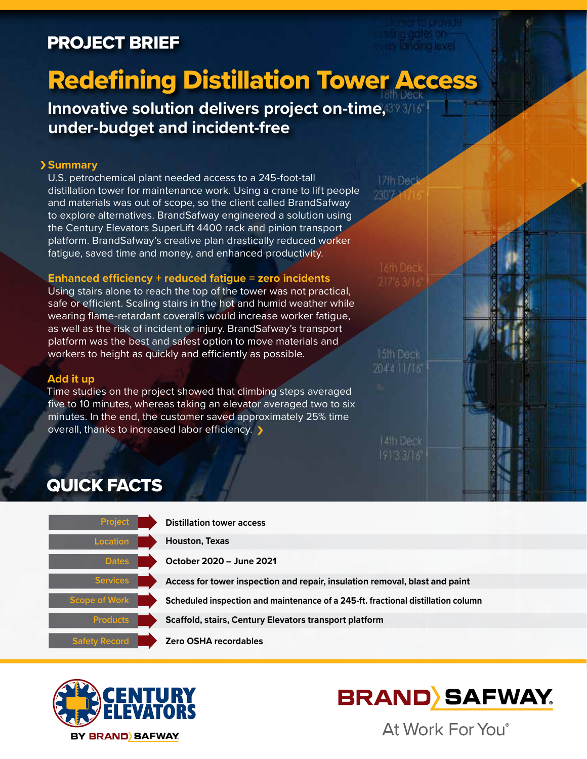# PROJECT BRIEF

# Redefining Distillation Tower Access

**Innovative solution delivers project on-time, 39 3/16 under-budget and incident-free** 

### **Summary**

U.S. petrochemical plant needed access to a 245-foot-tall distillation tower for maintenance work. Using a crane to lift people and materials was out of scope, so the client called BrandSafway to explore alternatives. BrandSafway engineered a solution using the Century Elevators SuperLift 4400 rack and pinion transport platform. BrandSafway's creative plan drastically reduced worker fatigue, saved time and money, and enhanced productivity.

#### **Enhanced efficiency + reduced fatigue = zero incidents**

Using stairs alone to reach the top of the tower was not practical, safe or efficient. Scaling stairs in the hot and humid weather while wearing flame-retardant coveralls would increase worker fatigue, as well as the risk of incident or injury. BrandSafway's transport platform was the best and safest option to move materials and workers to height as quickly and efficiently as possible.

#### **Add it up**

Time studies on the project showed that climbing steps averaged five to 10 minutes, whereas taking an elevator averaged two to six minutes. In the end, the customer saved approximately 25% time overall, thanks to increased labor efficiency.  $\blacktriangleright$ 



204'4 11/16

14th Deck

# QUICK FACTS







At Work For You®